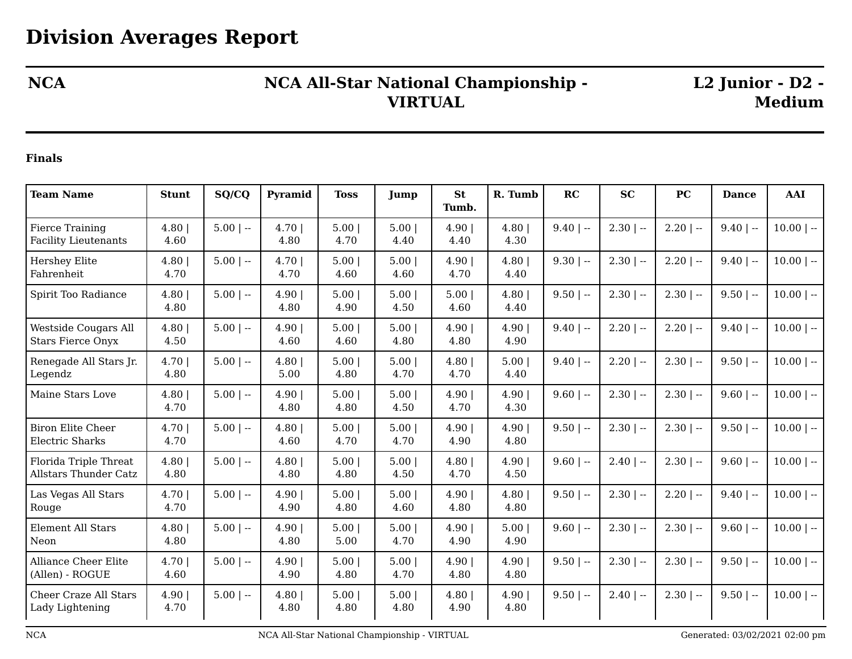## **NCA NCA All-Star National Championship - VIRTUAL**

**L2 Junior - D2 - Medium**

## **Finals**

| <b>Team Name</b>                                        | <b>Stunt</b>  | SQ/CQ       | Pyramid        | <b>Toss</b>  | Jump          | <b>St</b>     | R. Tumb      | RC          | <b>SC</b>    | PC           | <b>Dance</b> | <b>AAI</b>   |
|---------------------------------------------------------|---------------|-------------|----------------|--------------|---------------|---------------|--------------|-------------|--------------|--------------|--------------|--------------|
|                                                         |               |             |                |              |               | Tumb.         |              |             |              |              |              |              |
| <b>Fierce Training</b><br><b>Facility Lieutenants</b>   | 4.80<br>4.60  | $5.00$   -- | 4.70  <br>4.80 | 5.00<br>4.70 | 5.00<br>4.40  | 4.90<br>4.40  | 4.80<br>4.30 | $9.40$   -- | $2.30$   $-$ | $2.20$   --  | $9.40$   --  | $10.00$   -- |
| Hershey Elite<br>Fahrenheit                             | 4.80<br>4.70  | $5.00$   -- | 4.70<br>4.70   | 5.00<br>4.60 | 5.00<br>4.60  | 4.90<br>4.70  | 4.80<br>4.40 | $9.30$   -- | $2.30$   --  | $2.20$   --  | $9.40$   --  | $10.00$   -- |
| Spirit Too Radiance                                     | 4.80<br>4.80  | $5.00$   -- | 4.90 <br>4.80  | 5.00<br>4.90 | 5.00<br>4.50  | 5.00<br>4.60  | 4.80<br>4.40 | $9.50$   -- | $2.30$   $-$ | $2.30$   --  | $9.50$   --  | $10.00$   -- |
| <b>Westside Cougars All</b><br><b>Stars Fierce Onyx</b> | 4.80<br>4.50  | $5.00$   -- | 4.90 <br>4.60  | 5.00<br>4.60 | 5.00 <br>4.80 | 4.90<br>4.80  | 4.90<br>4.90 | $9.40$   -- | $2.20$   $-$ | $2.20$   $-$ | $9.40$   --  | $10.00$   -- |
| Renegade All Stars Jr.<br>Legendz                       | 4.70<br>4.80  | $5.00$   -- | 4.80<br>5.00   | 5.00<br>4.80 | 5.00<br>4.70  | 4.80<br>4.70  | 5.00<br>4.40 | $9.40$   -- | $2.20$   --  | $2.30$   --  | $9.50$   --  | $10.00$   -- |
| Maine Stars Love                                        | 4.80<br>4.70  | $5.00$   -- | 4.90 <br>4.80  | 5.00<br>4.80 | 5.00<br>4.50  | 4.90<br>4.70  | 4.90<br>4.30 | $9.60$   -- | $2.30$   $-$ | $2.30$   --  | $9.60$   --  | $10.00$   -- |
| <b>Biron Elite Cheer</b><br><b>Electric Sharks</b>      | 4.70 <br>4.70 | $5.00$   -- | 4.80<br>4.60   | 5.00<br>4.70 | 5.00 <br>4.70 | 4.90<br>4.90  | 4.90<br>4.80 | $9.50$   -- | $2.30$   --  | $2.30$   --  | $9.50$   --  | $10.00$   -- |
| Florida Triple Threat<br><b>Allstars Thunder Catz</b>   | 4.80<br>4.80  | $5.00$   -- | 4.80<br>4.80   | 5.00<br>4.80 | 5.00<br>4.50  | 4.80<br>4.70  | 4.90<br>4.50 | $9.60$   -- | $2.40$   $-$ | $2.30$   --  | $9.60$   --  | $10.00$   -- |
| Las Vegas All Stars<br>Rouge                            | 4.70 <br>4.70 | $5.00$   -- | 4.90 <br>4.90  | 5.00<br>4.80 | 5.00<br>4.60  | 4.90 <br>4.80 | 4.80<br>4.80 | $9.50$   -- | $2.30$   --  | $2.20$   --  | $9.40$   --  | $10.00$   -- |
| Element All Stars<br>Neon                               | 4.80<br>4.80  | $5.00$   -- | 4.90 <br>4.80  | 5.00<br>5.00 | 5.00<br>4.70  | 4.90<br>4.90  | 5.00<br>4.90 | $9.60$   -- | $2.30$   $-$ | $2.30$   $-$ | $9.60$   --  | $10.00$   -- |
| <b>Alliance Cheer Elite</b><br>(Allen) - ROGUE          | 4.70<br>4.60  | $5.00$   -- | 4.90<br>4.90   | 5.00<br>4.80 | 5.00<br>4.70  | 4.90<br>4.80  | 4.90<br>4.80 | $9.50$   -- | $2.30$   --  | $2.30$   $-$ | $9.50$   --  | $10.00$   -- |
| <b>Cheer Craze All Stars</b><br>Lady Lightening         | 4.90<br>4.70  | $5.00$   -- | 4.80<br>4.80   | 5.00<br>4.80 | 5.00<br>4.80  | 4.80<br>4.90  | 4.90<br>4.80 | $9.50$   -- | $2.40$   $-$ | $2.30$   --  | $9.50$   --  | $10.00$   -- |